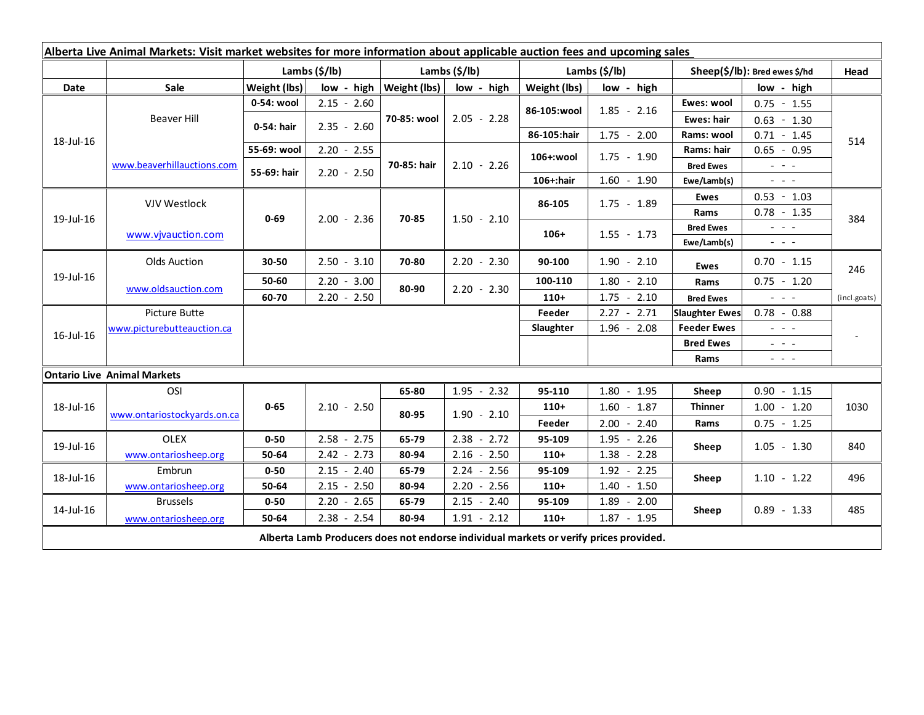| Alberta Live Animal Markets: Visit market websites for more information about applicable auction fees and upcoming sales |                             |                           |               |                           |                 |                           |               |                               |                                                                                                                                                                                                                                                                                                                                                                                                                                                |              |
|--------------------------------------------------------------------------------------------------------------------------|-----------------------------|---------------------------|---------------|---------------------------|-----------------|---------------------------|---------------|-------------------------------|------------------------------------------------------------------------------------------------------------------------------------------------------------------------------------------------------------------------------------------------------------------------------------------------------------------------------------------------------------------------------------------------------------------------------------------------|--------------|
|                                                                                                                          |                             | Lambs $(\frac{2}{3})$ lb) |               | Lambs $(\frac{2}{3})$ lb) |                 | Lambs $(\frac{2}{3})$ lb) |               | Sheep(\$/lb): Bred ewes \$/hd |                                                                                                                                                                                                                                                                                                                                                                                                                                                | Head         |
| Date                                                                                                                     | Sale                        | Weight (lbs)              | low - high    | Weight (lbs)              | low - high      | Weight (lbs)              | low - high    |                               | low - high                                                                                                                                                                                                                                                                                                                                                                                                                                     |              |
| 18-Jul-16                                                                                                                | <b>Beaver Hill</b>          | 0-54: wool                | $2.15 - 2.60$ |                           | $2.05 - 2.28$   | 86-105:wool               | $1.85 - 2.16$ | Ewes: wool                    | $0.75 - 1.55$                                                                                                                                                                                                                                                                                                                                                                                                                                  |              |
|                                                                                                                          |                             | 0-54: hair                | $2.35 - 2.60$ | 70-85: wool               |                 |                           |               | Ewes: hair                    | $0.63 - 1.30$                                                                                                                                                                                                                                                                                                                                                                                                                                  |              |
|                                                                                                                          |                             |                           |               |                           |                 | 86-105:hair               | $1.75 - 2.00$ | Rams: wool                    | $0.71 - 1.45$                                                                                                                                                                                                                                                                                                                                                                                                                                  | 514          |
|                                                                                                                          |                             | 55-69: wool               | $2.20 - 2.55$ | 70-85: hair               | $2.10 - 2.26$   | 106+:wool                 | $1.75 - 1.90$ | Rams: hair                    | $0.65 - 0.95$                                                                                                                                                                                                                                                                                                                                                                                                                                  |              |
|                                                                                                                          | www.beaverhillauctions.com  | 55-69: hair               | $2.20 - 2.50$ |                           |                 |                           |               | <b>Bred Ewes</b>              | $\omega_{\rm{eff}}$ and $\omega_{\rm{eff}}$                                                                                                                                                                                                                                                                                                                                                                                                    |              |
|                                                                                                                          |                             |                           |               |                           |                 | 106+:hair                 | $1.60 - 1.90$ | Ewe/Lamb(s)                   | $\omega_{\rm{max}}$                                                                                                                                                                                                                                                                                                                                                                                                                            |              |
| 19-Jul-16                                                                                                                | VJV Westlock                | $0 - 69$                  | $2.00 - 2.36$ | 70-85                     | $1.50 - 2.10$   | 86-105                    | $1.75 - 1.89$ | <b>Ewes</b>                   | $0.53 - 1.03$                                                                                                                                                                                                                                                                                                                                                                                                                                  | 384          |
|                                                                                                                          |                             |                           |               |                           |                 |                           |               | Rams                          | $0.78 - 1.35$                                                                                                                                                                                                                                                                                                                                                                                                                                  |              |
|                                                                                                                          | www.vjvauction.com          |                           |               |                           |                 | $106+$                    | $1.55 - 1.73$ | <b>Bred Ewes</b>              | $\omega_{\rm{eff}}$ and $\omega_{\rm{eff}}$                                                                                                                                                                                                                                                                                                                                                                                                    |              |
|                                                                                                                          |                             |                           |               |                           |                 |                           |               | Ewe/Lamb(s)                   | $\frac{1}{2} \left( \frac{1}{2} \right) \left( \frac{1}{2} \right) \left( \frac{1}{2} \right) \left( \frac{1}{2} \right)$                                                                                                                                                                                                                                                                                                                      |              |
| 19-Jul-16                                                                                                                | <b>Olds Auction</b>         | 30-50                     | $2.50 - 3.10$ | 70-80                     | $2.20 - 2.30$   | 90-100                    | $1.90 - 2.10$ | <b>Ewes</b>                   | $0.70 - 1.15$                                                                                                                                                                                                                                                                                                                                                                                                                                  | 246          |
|                                                                                                                          | www.oldsauction.com         | 50-60                     | $2.20 - 3.00$ | 80-90                     | $2.20 - 2.30$   | 100-110                   | $1.80 - 2.10$ | Rams                          | $0.75 - 1.20$                                                                                                                                                                                                                                                                                                                                                                                                                                  |              |
|                                                                                                                          |                             | 60-70                     | $2.20 - 2.50$ |                           |                 | $110+$                    | $1.75 - 2.10$ | <b>Bred Ewes</b>              | $\frac{1}{2} \left( \frac{1}{2} \right) \left( \frac{1}{2} \right) \left( \frac{1}{2} \right) \left( \frac{1}{2} \right)$                                                                                                                                                                                                                                                                                                                      | (incl.goats) |
| 16-Jul-16                                                                                                                | Picture Butte               |                           |               |                           |                 | Feeder                    | $2.27 - 2.71$ | <b>Slaughter Ewes</b>         | $0.78 - 0.88$                                                                                                                                                                                                                                                                                                                                                                                                                                  |              |
|                                                                                                                          | www.picturebutteauction.ca  |                           |               |                           |                 | Slaughter                 | $1.96 - 2.08$ | <b>Feeder Ewes</b>            | $\frac{1}{2} \left( \frac{1}{2} \right) \frac{1}{2} \left( \frac{1}{2} \right) \frac{1}{2} \left( \frac{1}{2} \right) \frac{1}{2} \left( \frac{1}{2} \right) \frac{1}{2} \left( \frac{1}{2} \right) \frac{1}{2} \left( \frac{1}{2} \right) \frac{1}{2} \left( \frac{1}{2} \right) \frac{1}{2} \left( \frac{1}{2} \right) \frac{1}{2} \left( \frac{1}{2} \right) \frac{1}{2} \left( \frac{1}{2} \right) \frac{1}{2} \left( \frac{1}{2} \right)$ |              |
|                                                                                                                          |                             |                           |               |                           |                 |                           |               | <b>Bred Ewes</b>              | $\omega_{\rm{c}}$ , $\omega_{\rm{c}}$ , $\omega_{\rm{c}}$                                                                                                                                                                                                                                                                                                                                                                                      |              |
|                                                                                                                          |                             |                           |               |                           |                 |                           |               | Rams                          | $\frac{1}{2} \left( \frac{1}{2} \right) \left( \frac{1}{2} \right) \left( \frac{1}{2} \right) \left( \frac{1}{2} \right)$                                                                                                                                                                                                                                                                                                                      |              |
| <b>Ontario Live Animal Markets</b>                                                                                       |                             |                           |               |                           |                 |                           |               |                               |                                                                                                                                                                                                                                                                                                                                                                                                                                                |              |
| 18-Jul-16                                                                                                                | OSI                         | $0 - 65$                  | $2.10 - 2.50$ | 65-80                     | $1.95 - 2.32$   | 95-110                    | $1.80 - 1.95$ | Sheep                         | $0.90 - 1.15$                                                                                                                                                                                                                                                                                                                                                                                                                                  |              |
|                                                                                                                          | www.ontariostockyards.on.ca |                           |               | 80-95                     | $1.90 - 2.10$   | $110+$                    | $1.60 - 1.87$ | <b>Thinner</b>                | $1.00 - 1.20$                                                                                                                                                                                                                                                                                                                                                                                                                                  | 1030         |
|                                                                                                                          |                             |                           |               |                           |                 | Feeder                    | $2.00 - 2.40$ | Rams                          | $0.75 - 1.25$                                                                                                                                                                                                                                                                                                                                                                                                                                  |              |
| 19-Jul-16                                                                                                                | <b>OLEX</b>                 | $0 - 50$                  | $2.58 - 2.75$ | 65-79                     | $2.38 - 2.72$   | 95-109                    | $1.95 - 2.26$ | Sheep                         | $1.05 - 1.30$                                                                                                                                                                                                                                                                                                                                                                                                                                  | 840          |
|                                                                                                                          | www.ontariosheep.org        | 50-64                     | $2.42 - 2.73$ | 80-94                     | $2.16 - 2.50$   | $110+$                    | $1.38 - 2.28$ |                               |                                                                                                                                                                                                                                                                                                                                                                                                                                                |              |
| 18-Jul-16                                                                                                                | Embrun                      | $0 - 50$                  | $2.15 - 2.40$ | 65-79                     | $2.24 - 2.56$   | 95-109                    | $1.92 - 2.25$ | Sheep                         | $1.10 - 1.22$                                                                                                                                                                                                                                                                                                                                                                                                                                  | 496          |
|                                                                                                                          | www.ontariosheep.org        | 50-64                     | $2.15 - 2.50$ | 80-94                     | 2.20<br>$-2.56$ | $110+$                    | $1.40 - 1.50$ |                               |                                                                                                                                                                                                                                                                                                                                                                                                                                                |              |
| 14-Jul-16                                                                                                                | <b>Brussels</b>             | $0 - 50$                  | $2.20 - 2.65$ | 65-79                     | $2.15 - 2.40$   | 95-109                    | $1.89 - 2.00$ | Sheep                         | $0.89 - 1.33$                                                                                                                                                                                                                                                                                                                                                                                                                                  | 485          |
|                                                                                                                          | www.ontariosheep.org        | 50-64                     | $2.38 - 2.54$ | 80-94                     | $1.91 - 2.12$   | $110+$                    | $1.87 - 1.95$ |                               |                                                                                                                                                                                                                                                                                                                                                                                                                                                |              |
| Alberta Lamb Producers does not endorse individual markets or verify prices provided.                                    |                             |                           |               |                           |                 |                           |               |                               |                                                                                                                                                                                                                                                                                                                                                                                                                                                |              |